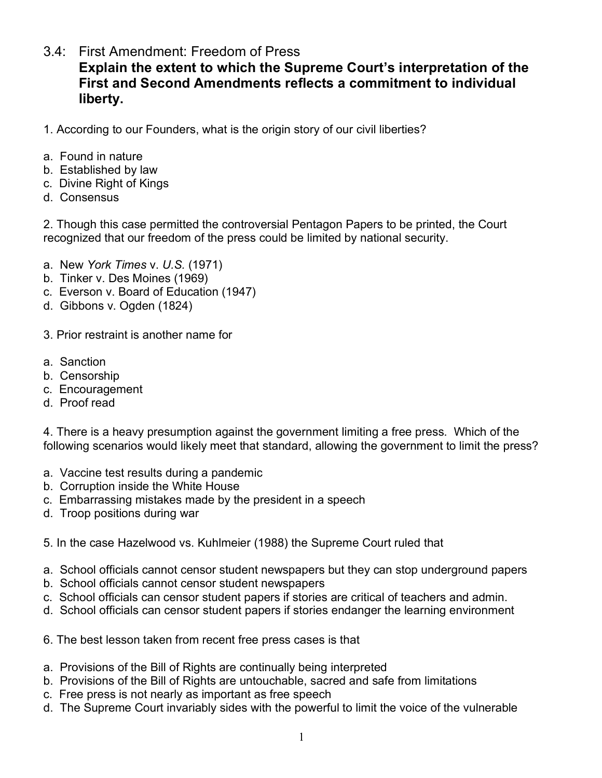- 3.4: First Amendment: Freedom of Press
	- **Explain the extent to which the Supreme Court's interpretation of the First and Second Amendments reflects a commitment to individual liberty.**
- 1. According to our Founders, what is the origin story of our civil liberties?
- a. Found in nature
- b. Established by law
- c. Divine Right of Kings
- d. Consensus

2. Though this case permitted the controversial Pentagon Papers to be printed, the Court recognized that our freedom of the press could be limited by national security.

- a. New *York Times* v. *U.S.* (1971)
- b. Tinker v. Des Moines (1969)
- c. Everson v. Board of Education (1947)
- d. Gibbons v. Ogden (1824)
- 3. Prior restraint is another name for
- a. Sanction
- b. Censorship
- c. Encouragement
- d. Proof read

4. There is a heavy presumption against the government limiting a free press. Which of the following scenarios would likely meet that standard, allowing the government to limit the press?

- a. Vaccine test results during a pandemic
- b. Corruption inside the White House
- c. Embarrassing mistakes made by the president in a speech
- d. Troop positions during war

5. In the case Hazelwood vs. Kuhlmeier (1988) the Supreme Court ruled that

- a. School officials cannot censor student newspapers but they can stop underground papers
- b. School officials cannot censor student newspapers
- c. School officials can censor student papers if stories are critical of teachers and admin.
- d. School officials can censor student papers if stories endanger the learning environment
- 6. The best lesson taken from recent free press cases is that
- a. Provisions of the Bill of Rights are continually being interpreted
- b. Provisions of the Bill of Rights are untouchable, sacred and safe from limitations
- c. Free press is not nearly as important as free speech
- d. The Supreme Court invariably sides with the powerful to limit the voice of the vulnerable